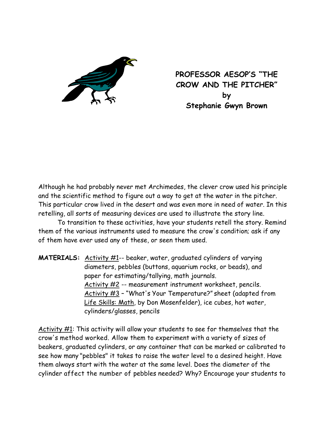

**PROFESSOR AESOP'S "THE CROW AND THE PITCHER" by Stephanie Gwyn Brown** 

Although he had probably never met Archimedes, the clever crow used his principle and the scientific method to figure out a way to get at the water in the pitcher. This particular crow lived in the desert and was even more in need of water. In this retelling, all sorts of measuring devices are used to illustrate the story line.

 To transition to these activities, have your students retell the story. Remind them of the various instruments used to measure the crow's condition; ask if any of them have ever used any of these, or seen them used.

**MATERIALS:** Activity #1-- beaker, water, graduated cylinders of varying diameters, pebbles (buttons, aquarium rocks, or beads), and paper for estimating/tallying, math journals. Activity #2 -- measurement instrument worksheet, pencils. Activity #3 – "What's Your Temperature?" sheet (adapted from Life Skills: Math, by Don Mosenfelder), ice cubes, hot water, cylinders/glasses, pencils

Activity #1: This activity will allow your students to see for themselves that the crow's method worked. Allow them to experiment with a variety of sizes of beakers, graduated cylinders, or any container that can be marked or calibrated to see how many "pebbles" it takes to raise the water level to a desired height. Have them always start with the water at the same level. Does the diameter of the cylinder affect the number of pebbles needed? Why? Encourage your students to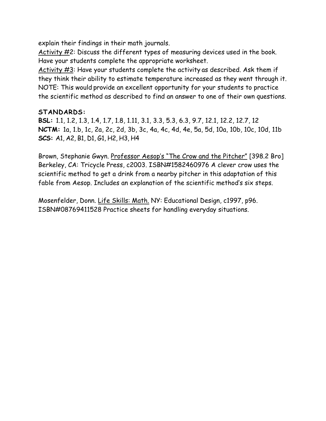explain their findings in their math journals.

Activity #2: Discuss the different types of measuring devices used in the book. Have your students complete the appropriate worksheet.

Activity #3: Have your students complete the activity as described. Ask them if they think their ability to estimate temperature increased as they went through it. NOTE: This would provide an excellent opportunity for your students to practice the scientific method as described to find an answer to one of their own questions.

## **STANDARDS:**

**BSL:** 1.1, 1.2, 1.3, 1.4, 1.7, 1.8, 1.11, 3.1, 3.3, 5.3, 6.3, 9.7, 12.1, 12.2, 12.7, 12 **NCTM:** 1a, 1.b, 1c, 2a, 2c, 2d, 3b, 3c, 4a, 4c, 4d, 4e, 5a, 5d, 10a, 10b, 10c, 10d, 11b **SCS:** A1, A2, B1, D1, G1, H2, H3, H4

Brown, Stephanie Gwyn. Professor Aesop's "The Crow and the Pitcher" [398.2 Bro] Berkeley, CA: Tricycle Press, c2003. ISBN#1582460976 A clever crow uses the scientific method to get a drink from a nearby pitcher in this adaptation of this fable from Aesop. Includes an explanation of the scientific method's six steps.

Mosenfelder, Donn. Life Skills: Math. NY: Educational Design, c1997, p96. ISBN#08769411528 Practice sheets for handling everyday situations.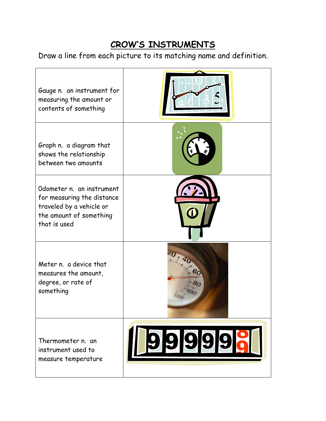## **CROW'S INSTRUMENTS**

Draw a line from each picture to its matching name and definition.

| Gauge n. an instrument for<br>measuring the amount or<br>contents of something                                                 |        |
|--------------------------------------------------------------------------------------------------------------------------------|--------|
| Graph n. a diagram that<br>shows the relationship<br>between two amounts                                                       |        |
| Odometer n. an instrument<br>for measuring the distance<br>traveled by a vehicle or<br>the amount of something<br>that is used |        |
| Meter n. a device that<br>measures the amount,<br>degree, or rate of<br>something                                              |        |
| Thermometer n. an<br>instrument used to<br>measure temperature                                                                 | 999998 |